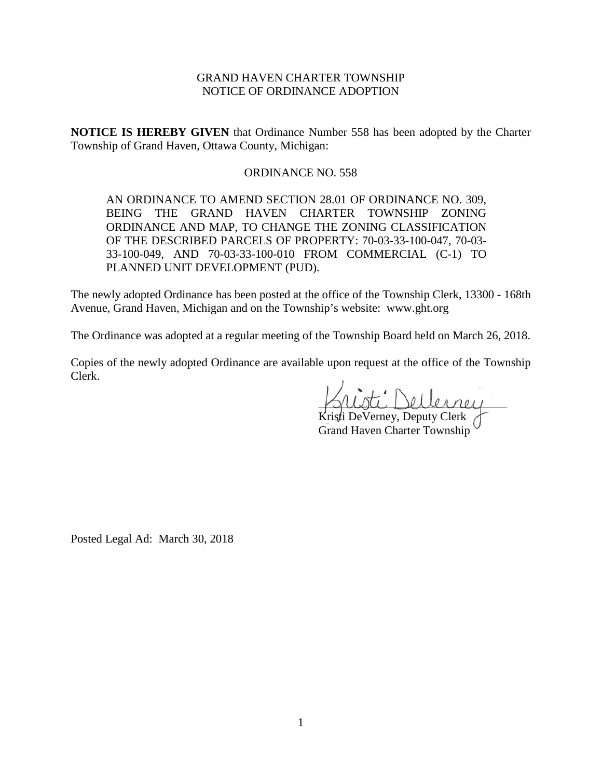# GRAND HAVEN CHARTER TOWNSHIP NOTICE OF ORDINANCE ADOPTION

**NOTICE IS HEREBY GIVEN** that Ordinance Number 558 has been adopted by the Charter Township of Grand Haven, Ottawa County, Michigan:

## ORDINANCE NO. 558

AN ORDINANCE TO AMEND SECTION 28.01 OF ORDINANCE NO. 309, BEING THE GRAND HAVEN CHARTER TOWNSHIP ZONING ORDINANCE AND MAP, TO CHANGE THE ZONING CLASSIFICATION OF THE DESCRIBED PARCELS OF PROPERTY: 70-03-33-100-047, 70-03- 33-100-049, AND 70-03-33-100-010 FROM COMMERCIAL (C-1) TO PLANNED UNIT DEVELOPMENT (PUD).

The newly adopted Ordinance has been posted at the office of the Township Clerk, 13300 - 168th Avenue, Grand Haven, Michigan and on the Township's website: www.ght.org

The Ordinance was adopted at a regular meeting of the Township Board held on March 26, 2018.

Copies of the newly adopted Ordinance are available upon request at the office of the Township Clerk.

\_\_\_\_\_\_\_\_\_\_\_\_\_\_\_\_\_\_\_\_\_\_\_\_\_\_\_\_\_\_\_\_

Kristi DeVerney, Deputy Clerk Grand Haven Charter Township

Posted Legal Ad: March 30, 2018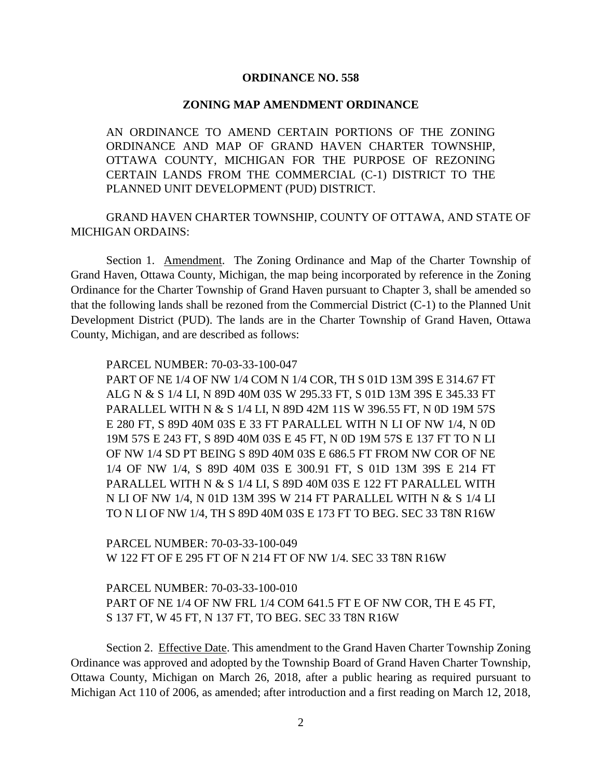## **ORDINANCE NO. 558**

### **ZONING MAP AMENDMENT ORDINANCE**

AN ORDINANCE TO AMEND CERTAIN PORTIONS OF THE ZONING ORDINANCE AND MAP OF GRAND HAVEN CHARTER TOWNSHIP, OTTAWA COUNTY, MICHIGAN FOR THE PURPOSE OF REZONING CERTAIN LANDS FROM THE COMMERCIAL (C-1) DISTRICT TO THE PLANNED UNIT DEVELOPMENT (PUD) DISTRICT.

GRAND HAVEN CHARTER TOWNSHIP, COUNTY OF OTTAWA, AND STATE OF MICHIGAN ORDAINS:

Section 1. Amendment. The Zoning Ordinance and Map of the Charter Township of Grand Haven, Ottawa County, Michigan, the map being incorporated by reference in the Zoning Ordinance for the Charter Township of Grand Haven pursuant to Chapter 3, shall be amended so that the following lands shall be rezoned from the Commercial District (C-1) to the Planned Unit Development District (PUD). The lands are in the Charter Township of Grand Haven, Ottawa County, Michigan, and are described as follows:

PARCEL NUMBER: 70-03-33-100-047

PART OF NE 1/4 OF NW 1/4 COM N 1/4 COR, TH S 01D 13M 39S E 314.67 FT ALG N & S 1/4 LI, N 89D 40M 03S W 295.33 FT, S 01D 13M 39S E 345.33 FT PARALLEL WITH N & S 1/4 LI, N 89D 42M 11S W 396.55 FT, N 0D 19M 57S E 280 FT, S 89D 40M 03S E 33 FT PARALLEL WITH N LI OF NW 1/4, N 0D 19M 57S E 243 FT, S 89D 40M 03S E 45 FT, N 0D 19M 57S E 137 FT TO N LI OF NW 1/4 SD PT BEING S 89D 40M 03S E 686.5 FT FROM NW COR OF NE 1/4 OF NW 1/4, S 89D 40M 03S E 300.91 FT, S 01D 13M 39S E 214 FT PARALLEL WITH N & S 1/4 LI, S 89D 40M 03S E 122 FT PARALLEL WITH N LI OF NW 1/4, N 01D 13M 39S W 214 FT PARALLEL WITH N & S 1/4 LI TO N LI OF NW 1/4, TH S 89D 40M 03S E 173 FT TO BEG. SEC 33 T8N R16W

PARCEL NUMBER: 70-03-33-100-049 W 122 FT OF E 295 FT OF N 214 FT OF NW 1/4. SEC 33 T8N R16W

PARCEL NUMBER: 70-03-33-100-010 PART OF NE 1/4 OF NW FRL 1/4 COM 641.5 FT E OF NW COR, TH E 45 FT, S 137 FT, W 45 FT, N 137 FT, TO BEG. SEC 33 T8N R16W

Section 2. Effective Date. This amendment to the Grand Haven Charter Township Zoning Ordinance was approved and adopted by the Township Board of Grand Haven Charter Township, Ottawa County, Michigan on March 26, 2018, after a public hearing as required pursuant to Michigan Act 110 of 2006, as amended; after introduction and a first reading on March 12, 2018,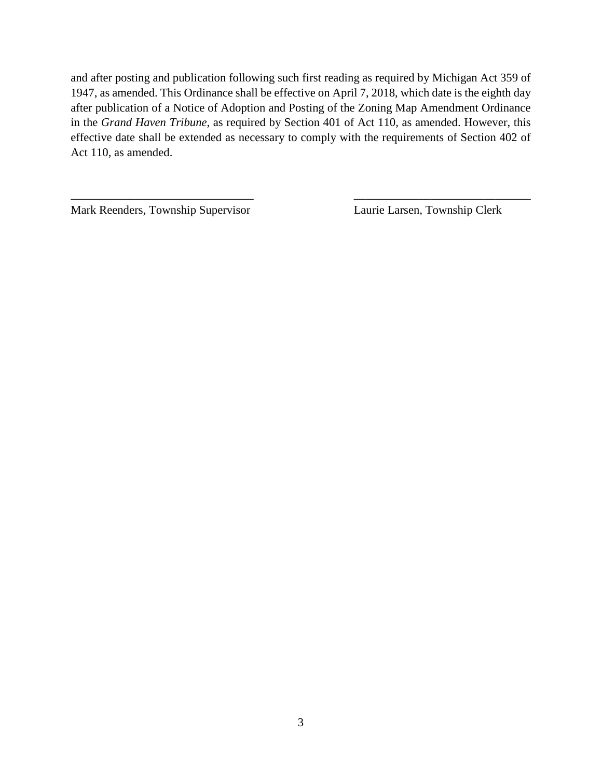and after posting and publication following such first reading as required by Michigan Act 359 of 1947, as amended. This Ordinance shall be effective on April 7, 2018, which date is the eighth day after publication of a Notice of Adoption and Posting of the Zoning Map Amendment Ordinance in the *Grand Haven Tribune*, as required by Section 401 of Act 110, as amended. However, this effective date shall be extended as necessary to comply with the requirements of Section 402 of Act 110, as amended.

\_\_\_\_\_\_\_\_\_\_\_\_\_\_\_\_\_\_\_\_\_\_\_\_\_\_\_\_\_\_\_ \_\_\_\_\_\_\_\_\_\_\_\_\_\_\_\_\_\_\_\_\_\_\_\_\_\_\_\_\_\_

Mark Reenders, Township Supervisor Laurie Larsen, Township Clerk